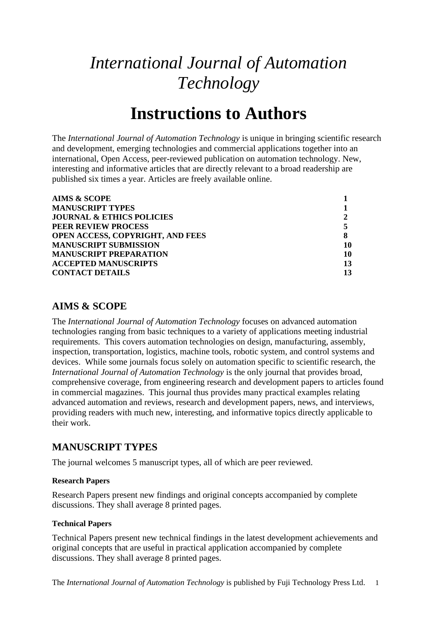# *International Journal of Automation Technology*

# **Instructions to Authors**

The *International Journal of Automation Technology* is unique in bringing scientific research and development, emerging technologies and commercial applications together into an international, Open Access, peer-reviewed publication on automation technology. New, interesting and informative articles that are directly relevant to a broad readership are published six times a year. Articles are freely available online.

| <b>AIMS &amp; SCOPE</b>                 |    |
|-----------------------------------------|----|
| <b>MANUSCRIPT TYPES</b>                 |    |
| <b>JOURNAL &amp; ETHICS POLICIES</b>    |    |
| PEER REVIEW PROCESS                     |    |
| <b>OPEN ACCESS, COPYRIGHT, AND FEES</b> |    |
| <b>MANUSCRIPT SUBMISSION</b>            | 10 |
| <b>MANUSCRIPT PREPARATION</b>           | 10 |
| <b>ACCEPTED MANUSCRIPTS</b>             | 13 |
| <b>CONTACT DETAILS</b>                  | 13 |

# <span id="page-0-0"></span>**AIMS & SCOPE**

The *International Journal of Automation Technology* focuses on advanced automation technologies ranging from basic techniques to a variety of applications meeting industrial requirements. This covers automation technologies on design, manufacturing, assembly, inspection, transportation, logistics, machine tools, robotic system, and control systems and devices. While some journals focus solely on automation specific to scientific research, the *International Journal of Automation Technology* is the only journal that provides broad, comprehensive coverage, from engineering research and development papers to articles found in commercial magazines. This journal thus provides many practical examples relating advanced automation and reviews, research and development papers, news, and interviews, providing readers with much new, interesting, and informative topics directly applicable to their work.

# <span id="page-0-1"></span>**MANUSCRIPT TYPES**

The journal welcomes 5 manuscript types, all of which are peer reviewed.

## **Research Papers**

Research Papers present new findings and original concepts accompanied by complete discussions. They shall average 8 printed pages.

## **Technical Papers**

Technical Papers present new technical findings in the latest development achievements and original concepts that are useful in practical application accompanied by complete discussions. They shall average 8 printed pages.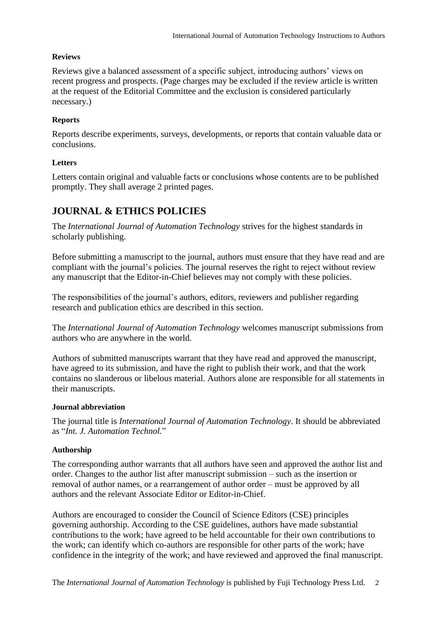## **Reviews**

Reviews give a balanced assessment of a specific subject, introducing authors' views on recent progress and prospects. (Page charges may be excluded if the review article is written at the request of the Editorial Committee and the exclusion is considered particularly necessary.)

## **Reports**

Reports describe experiments, surveys, developments, or reports that contain valuable data or conclusions.

## **Letters**

Letters contain original and valuable facts or conclusions whose contents are to be published promptly. They shall average 2 printed pages.

# <span id="page-1-0"></span>**JOURNAL & ETHICS POLICIES**

The *International Journal of Automation Technology* strives for the highest standards in scholarly publishing.

Before submitting a manuscript to the journal, authors must ensure that they have read and are compliant with the journal's policies. The journal reserves the right to reject without review any manuscript that the Editor-in-Chief believes may not comply with these policies.

The responsibilities of the journal's authors, editors, reviewers and publisher regarding research and publication ethics are described in this section.

The *International Journal of Automation Technology* welcomes manuscript submissions from authors who are anywhere in the world.

Authors of submitted manuscripts warrant that they have read and approved the manuscript, have agreed to its submission, and have the right to publish their work, and that the work contains no slanderous or libelous material. Authors alone are responsible for all statements in their manuscripts.

## **Journal abbreviation**

The journal title is *International Journal of Automation Technology*. It should be abbreviated as "*Int. J. Automation Technol.*"

## **Authorship**

The corresponding author warrants that all authors have seen and approved the author list and order. Changes to the author list after manuscript submission – such as the insertion or removal of author names, or a rearrangement of author order – must be approved by all authors and the relevant Associate Editor or Editor-in-Chief.

Authors are encouraged to consider the [Council of Science Editors](https://www.councilscienceeditors.org/resource-library/editorial-policies/white-paper-on-publication-ethics/2-2-authorship-and-authorship-responsibilities/) (CSE) principles governing authorship. According to the CSE guidelines, authors have made substantial contributions to the work; have agreed to be held accountable for their own contributions to the work; can identify which co-authors are responsible for other parts of the work; have confidence in the integrity of the work; and have reviewed and approved the final manuscript.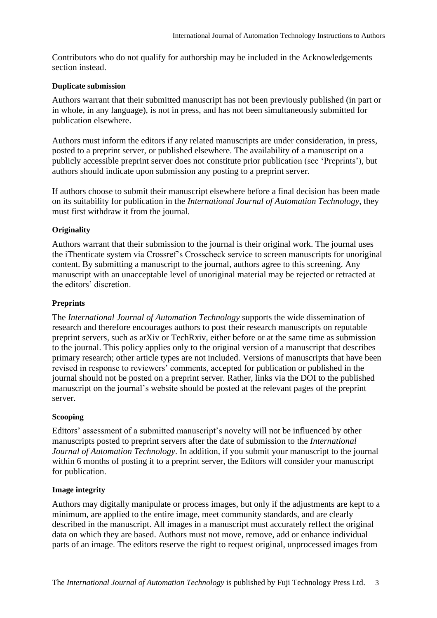Contributors who do not qualify for authorship may be included in the Acknowledgements section instead.

## **Duplicate submission**

Authors warrant that their submitted manuscript has not been previously published (in part or in whole, in any language), is not in press, and has not been simultaneously submitted for publication elsewhere.

Authors must inform the editors if any related manuscripts are under consideration, in press, posted to a preprint server, or published elsewhere. The availability of a manuscript on a publicly accessible preprint server does not constitute prior publication (see 'Preprints'), but authors should indicate upon submission any posting to a preprint server.

If authors choose to submit their manuscript elsewhere before a final decision has been made on its suitability for publication in the *International Journal of Automation Technology*, they must first withdraw it from the journal.

## **Originality**

Authors warrant that their submission to the journal is their original work. The journal uses the iThenticate system via Crossref's Crosscheck service to screen manuscripts for unoriginal content. By submitting a manuscript to the journal, authors agree to this screening. Any manuscript with an unacceptable level of unoriginal material may be rejected or retracted at the editors' discretion.

## **Preprints**

The *International Journal of Automation Technology* supports the wide dissemination of research and therefore encourages authors to post their research manuscripts on reputable preprint servers, such as arXiv or TechRxiv, either before or at the same time as submission to the journal. This policy applies only to the original version of a manuscript that describes primary research; other article types are not included. Versions of manuscripts that have been revised in response to reviewers' comments, accepted for publication or published in the journal should not be posted on a preprint server. Rather, links via the DOI to the published manuscript on the journal's website should be posted at the relevant pages of the preprint server.

## **Scooping**

Editors' assessment of a submitted manuscript's novelty will not be influenced by other manuscripts posted to preprint servers after the date of submission to the *International Journal of Automation Technology*. In addition, if you submit your manuscript to the journal within 6 months of posting it to a preprint server, the Editors will consider your manuscript for publication.

## **Image integrity**

Authors may digitally manipulate or process images, but only if the adjustments are kept to a minimum, are applied to the entire image, meet community standards, and are clearly described in the manuscript. All images in a manuscript must accurately reflect the original data on which they are based. Authors must not move, remove, add or enhance individual parts of an image. The editors reserve the right to request original, unprocessed images from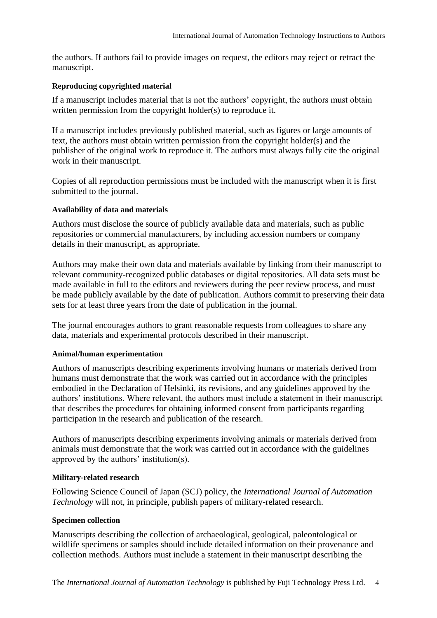the authors. If authors fail to provide images on request, the editors may reject or retract the manuscript.

## **Reproducing copyrighted material**

If a manuscript includes material that is not the authors' copyright, the authors must obtain written permission from the copyright holder(s) to reproduce it.

If a manuscript includes previously published material, such as figures or large amounts of text, the authors must obtain written permission from the copyright holder(s) and the publisher of the original work to reproduce it. The authors must always fully cite the original work in their manuscript.

Copies of all reproduction permissions must be included with the manuscript when it is first submitted to the journal.

## **Availability of data and materials**

Authors must disclose the source of publicly available data and materials, such as public repositories or commercial manufacturers, by including accession numbers or company details in their manuscript, as appropriate.

Authors may make their own data and materials available by linking from their manuscript to relevant community-recognized public databases or digital repositories. All data sets must be made available in full to the editors and reviewers during the peer review process, and must be made publicly available by the date of publication. Authors commit to preserving their data sets for at least three years from the date of publication in the journal.

The journal encourages authors to grant reasonable requests from colleagues to share any data, materials and experimental protocols described in their manuscript.

### **Animal/human experimentation**

Authors of manuscripts describing experiments involving humans or materials derived from humans must demonstrate that the work was carried out in accordance with the principles embodied in the Declaration of Helsinki, its revisions, and any guidelines approved by the authors' institutions. Where relevant, the authors must include a statement in their manuscript that describes the procedures for obtaining informed consent from participants regarding participation in the research and publication of the research.

Authors of manuscripts describing experiments involving animals or materials derived from animals must demonstrate that the work was carried out in accordance with the guidelines approved by the authors' institution(s).

### **Military-related research**

Following Science Council of Japan (SCJ) policy, the *International Journal of Automation Technology* will not, in principle, publish papers of military-related research.

### **Specimen collection**

Manuscripts describing the collection of archaeological, geological, paleontological or wildlife specimens or samples should include detailed information on their provenance and collection methods. Authors must include a statement in their manuscript describing the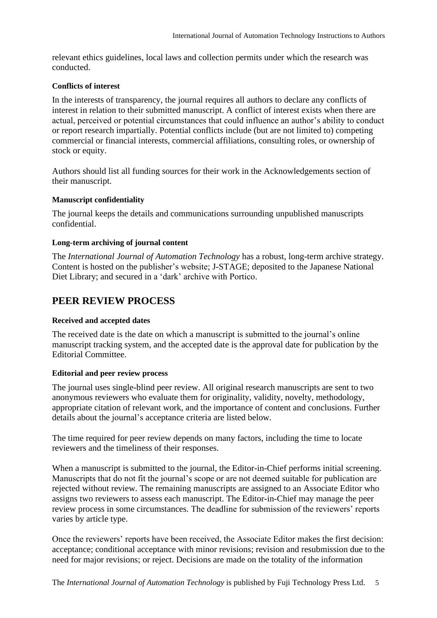relevant ethics guidelines, local laws and collection permits under which the research was conducted.

## **Conflicts of interest**

In the interests of transparency, the journal requires all authors to declare any conflicts of interest in relation to their submitted manuscript. A conflict of interest exists when there are actual, perceived or potential circumstances that could influence an author's ability to conduct or report research impartially. Potential conflicts include (but are not limited to) competing commercial or financial interests, commercial affiliations, consulting roles, or ownership of stock or equity.

Authors should list all funding sources for their work in the Acknowledgements section of their manuscript.

## **Manuscript confidentiality**

The journal keeps the details and communications surrounding unpublished manuscripts confidential.

## **Long-term archiving of journal content**

The *International Journal of Automation Technology* has a robust, long-term archive strategy. Content is hosted on the publisher's website; J-STAGE; deposited to the Japanese National Diet Library; and secured in a 'dark' archive with Portico.

## <span id="page-4-0"></span>**PEER REVIEW PROCESS**

### **Received and accepted dates**

The received date is the date on which a manuscript is submitted to the journal's online manuscript tracking system, and the accepted date is the approval date for publication by the Editorial Committee.

## **Editorial and peer review process**

The journal uses single-blind peer review. All original research manuscripts are sent to two anonymous reviewers who evaluate them for originality, validity, novelty, methodology, appropriate citation of relevant work, and the importance of content and conclusions. Further details about the journal's acceptance criteria are listed below.

The time required for peer review depends on many factors, including the time to locate reviewers and the timeliness of their responses.

When a manuscript is submitted to the journal, the Editor-in-Chief performs initial screening. Manuscripts that do not fit the journal's scope or are not deemed suitable for publication are rejected without review. The remaining manuscripts are assigned to an Associate Editor who assigns two reviewers to assess each manuscript. The Editor-in-Chief may manage the peer review process in some circumstances. The deadline for submission of the reviewers' reports varies by article type.

Once the reviewers' reports have been received, the Associate Editor makes the first decision: acceptance; conditional acceptance with minor revisions; revision and resubmission due to the need for major revisions; or reject. Decisions are made on the totality of the information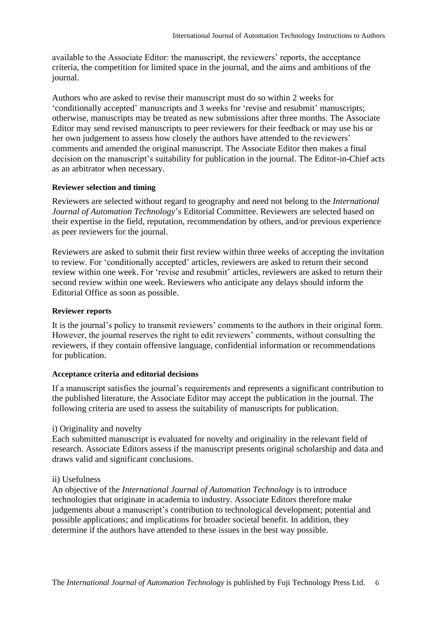available to the Associate Editor: the manuscript, the reviewers' reports, the acceptance criteria, the competition for limited space in the journal, and the aims and ambitions of the journal.

Authors who are asked to revise their manuscript must do so within 2 weeks for 'conditionally accepted' manuscripts and 3 weeks for 'revise and resubmit' manuscripts; otherwise, manuscripts may be treated as new submissions after three months. The Associate Editor may send revised manuscripts to peer reviewers for their feedback or may use his or her own judgement to assess how closely the authors have attended to the reviewers' comments and amended the original manuscript. The Associate Editor then makes a final decision on the manuscript's suitability for publication in the journal. The Editor-in-Chief acts as an arbitrator when necessary.

## **Reviewer selection and timing**

Reviewers are selected without regard to geography and need not belong to the *International Journal of Automation Technology*'s Editorial Committee. Reviewers are selected based on their expertise in the field, reputation, recommendation by others, and/or previous experience as peer reviewers for the journal.

Reviewers are asked to submit their first review within three weeks of accepting the invitation to review. For 'conditionally accepted' articles, reviewers are asked to return their second review within one week. For 'revise and resubmit' articles, reviewers are asked to return their second review within one week. Reviewers who anticipate any delays should inform the Editorial Office as soon as possible.

## **Reviewer reports**

It is the journal's policy to transmit reviewers' comments to the authors in their original form. However, the journal reserves the right to edit reviewers' comments, without consulting the reviewers, if they contain offensive language, confidential information or recommendations for publication.

### **Acceptance criteria and editorial decisions**

If a manuscript satisfies the journal's requirements and represents a significant contribution to the published literature, the Associate Editor may accept the publication in the journal. The following criteria are used to assess the suitability of manuscripts for publication.

## i) Originality and novelty

Each submitted manuscript is evaluated for novelty and originality in the relevant field of research. Associate Editors assess if the manuscript presents original scholarship and data and draws valid and significant conclusions.

## ii) Usefulness

An objective of the *International Journal of Automation Technology* is to introduce technologies that originate in academia to industry. Associate Editors therefore make judgements about a manuscript's contribution to technological development; potential and possible applications; and implications for broader societal benefit. In addition, they determine if the authors have attended to these issues in the best way possible.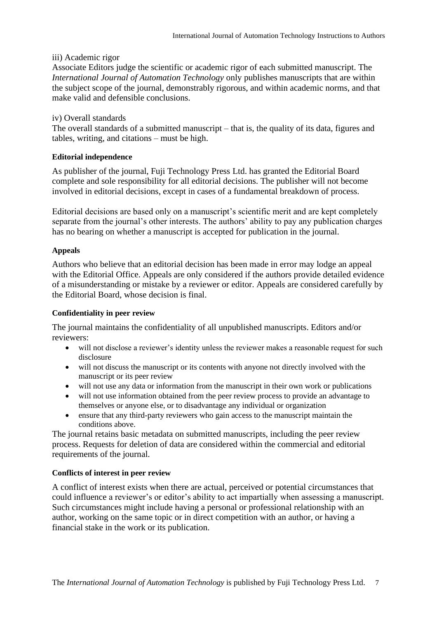## iii) Academic rigor

Associate Editors judge the scientific or academic rigor of each submitted manuscript. The *International Journal of Automation Technology* only publishes manuscripts that are within the subject scope of the journal, demonstrably rigorous, and within academic norms, and that make valid and defensible conclusions.

## iv) Overall standards

The overall standards of a submitted manuscript – that is, the quality of its data, figures and tables, writing, and citations – must be high.

## **Editorial independence**

As publisher of the journal, Fuji Technology Press Ltd. has granted the Editorial Board complete and sole responsibility for all editorial decisions. The publisher will not become involved in editorial decisions, except in cases of a fundamental breakdown of process.

Editorial decisions are based only on a manuscript's scientific merit and are kept completely separate from the journal's other interests. The authors' ability to pay any publication charges has no bearing on whether a manuscript is accepted for publication in the journal.

## **Appeals**

Authors who believe that an editorial decision has been made in error may lodge an appeal with the Editorial Office. Appeals are only considered if the authors provide detailed evidence of a misunderstanding or mistake by a reviewer or editor. Appeals are considered carefully by the Editorial Board, whose decision is final.

## **Confidentiality in peer review**

The journal maintains the confidentiality of all unpublished manuscripts. Editors and/or reviewers:

- will not disclose a reviewer's identity unless the reviewer makes a reasonable request for such disclosure
- will not discuss the manuscript or its contents with anyone not directly involved with the manuscript or its peer review
- will not use any data or information from the manuscript in their own work or publications
- will not use information obtained from the peer review process to provide an advantage to themselves or anyone else, or to disadvantage any individual or organization
- ensure that any third-party reviewers who gain access to the manuscript maintain the conditions above.

The journal retains basic metadata on submitted manuscripts, including the peer review process. Requests for deletion of data are considered within the commercial and editorial requirements of the journal.

### **Conflicts of interest in peer review**

A conflict of interest exists when there are actual, perceived or potential circumstances that could influence a reviewer's or editor's ability to act impartially when assessing a manuscript. Such circumstances might include having a personal or professional relationship with an author, working on the same topic or in direct competition with an author, or having a financial stake in the work or its publication.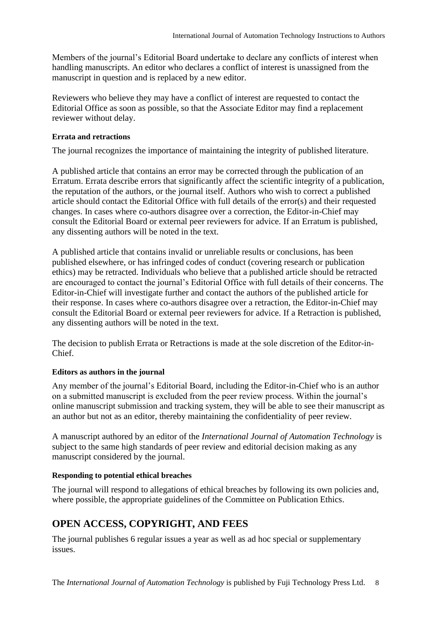Members of the journal's Editorial Board undertake to declare any conflicts of interest when handling manuscripts. An editor who declares a conflict of interest is unassigned from the manuscript in question and is replaced by a new editor.

Reviewers who believe they may have a conflict of interest are requested to contact the Editorial Office as soon as possible, so that the Associate Editor may find a replacement reviewer without delay.

## **Errata and retractions**

The journal recognizes the importance of maintaining the integrity of published literature.

A published article that contains an error may be corrected through the publication of an Erratum. Errata describe errors that significantly affect the scientific integrity of a publication, the reputation of the authors, or the journal itself. Authors who wish to correct a published article should contact the Editorial Office with full details of the error(s) and their requested changes. In cases where co-authors disagree over a correction, the Editor-in-Chief may consult the Editorial Board or external peer reviewers for advice. If an Erratum is published, any dissenting authors will be noted in the text.

A published article that contains invalid or unreliable results or conclusions, has been published elsewhere, or has infringed codes of conduct (covering research or publication ethics) may be retracted. Individuals who believe that a published article should be retracted are encouraged to contact the journal's Editorial Office with full details of their concerns. The Editor-in-Chief will investigate further and contact the authors of the published article for their response. In cases where co-authors disagree over a retraction, the Editor-in-Chief may consult the Editorial Board or external peer reviewers for advice. If a Retraction is published, any dissenting authors will be noted in the text.

The decision to publish Errata or Retractions is made at the sole discretion of the Editor-in-Chief.

## **Editors as authors in the journal**

Any member of the journal's Editorial Board, including the Editor-in-Chief who is an author on a submitted manuscript is excluded from the peer review process. Within the journal's online manuscript submission and tracking system, they will be able to see their manuscript as an author but not as an editor, thereby maintaining the confidentiality of peer review.

A manuscript authored by an editor of the *International Journal of Automation Technology* is subject to the same high standards of peer review and editorial decision making as any manuscript considered by the journal.

## **Responding to potential ethical breaches**

The journal will respond to allegations of ethical breaches by following its own policies and, where possible, the appropriate guidelines of the Committee on Publication Ethics.

# <span id="page-7-0"></span>**OPEN ACCESS, COPYRIGHT, AND FEES**

The journal publishes 6 regular issues a year as well as ad hoc special or supplementary issues.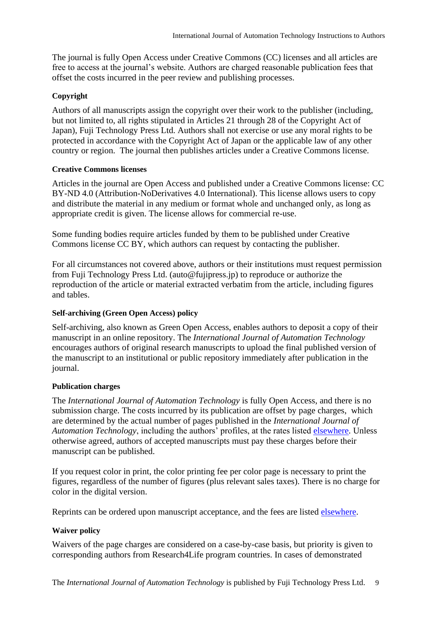The journal is fully Open Access under Creative Commons (CC) licenses and all articles are free to access at the journal's website. Authors are charged reasonable publication fees that offset the costs incurred in the peer review and publishing processes.

## **Copyright**

Authors of all manuscripts assign the copyright over their work to the publisher (including, but not limited to, all rights stipulated in Articles 21 through 28 of the Copyright Act of Japan), Fuji Technology Press Ltd. Authors shall not exercise or use any moral rights to be protected in accordance with the Copyright Act of Japan or the applicable law of any other country or region. The journal then publishes articles under a Creative Commons license.

## **Creative Commons licenses**

Articles in the journal are Open Access and published under a Creative Commons license: CC BY-ND 4.0 (Attribution-NoDerivatives 4.0 International). This license allows users to copy and distribute the material in any medium or format whole and unchanged only, as long as appropriate credit is given. The license allows for commercial re-use.

Some funding bodies require articles funded by them to be published under Creative Commons license CC BY, which authors can request by contacting the publisher.

For all circumstances not covered above, authors or their institutions must request permission from Fuji Technology Press Ltd. (auto@fujipress.jp) to reproduce or authorize the reproduction of the article or material extracted verbatim from the article, including figures and tables.

## **Self-archiving (Green Open Access) policy**

Self-archiving, also known as Green Open Access, enables authors to deposit a copy of their manuscript in an online repository. The *International Journal of Automation Technology* encourages authors of original research manuscripts to upload the final published version of the manuscript to an institutional or public repository immediately after publication in the journal.

## **Publication charges**

The *International Journal of Automation Technology* is fully Open Access, and there is no submission charge. The costs incurred by its publication are offset by page charges, which are determined by the actual number of pages published in the *International Journal of Automation Technology*, including the authors' profiles, at the rates listed [elsewhere.](https://www.fujipress.jp/ijat/au-authors/#page_charge) Unless otherwise agreed, authors of accepted manuscripts must pay these charges before their manuscript can be published.

If you request color in print, the color printing fee per color page is necessary to print the figures, regardless of the number of figures (plus relevant sales taxes). There is no charge for color in the digital version.

Reprints can be ordered upon manuscript acceptance, and the fees are listed [elsewhere.](https://www.fujipress.jp/ijat/au-authors/#page_charge)

## **Waiver policy**

Waivers of the page charges are considered on a case-by-case basis, but priority is given to corresponding authors from Research4Life program countries. In cases of demonstrated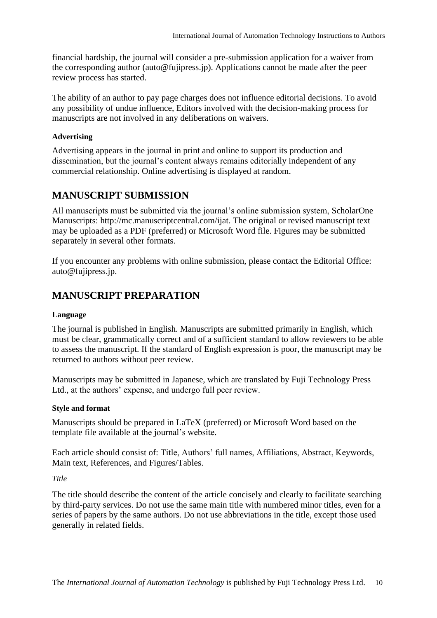financial hardship, the journal will consider a pre-submission application for a waiver from the corresponding author (auto@fujipress.jp). Applications cannot be made after the peer review process has started.

The ability of an author to pay page charges does not influence editorial decisions. To avoid any possibility of undue influence, Editors involved with the decision-making process for manuscripts are not involved in any deliberations on waivers.

## **Advertising**

Advertising appears in the journal in print and online to support its production and dissemination, but the journal's content always remains editorially independent of any commercial relationship. Online advertising is displayed at random.

# <span id="page-9-0"></span>**MANUSCRIPT SUBMISSION**

All manuscripts must be submitted via the journal's online submission system, ScholarOne Manuscripts: http://mc.manuscriptcentral.com/ijat. The original or revised manuscript text may be uploaded as a PDF (preferred) or Microsoft Word file. Figures may be submitted separately in several other formats.

If you encounter any problems with online submission, please contact the Editorial Office: auto@fujipress.jp.

# <span id="page-9-1"></span>**MANUSCRIPT PREPARATION**

## **Language**

The journal is published in English. Manuscripts are submitted primarily in English, which must be clear, grammatically correct and of a sufficient standard to allow reviewers to be able to assess the manuscript. If the standard of English expression is poor, the manuscript may be returned to authors without peer review.

Manuscripts may be submitted in Japanese, which are translated by Fuji Technology Press Ltd., at the authors' expense, and undergo full peer review.

## **Style and format**

Manuscripts should be prepared in LaTeX (preferred) or Microsoft Word based on the template file available at the journal's website.

Each article should consist of: Title, Authors' full names, Affiliations, Abstract, Keywords, Main text, References, and Figures/Tables.

*Title*

The title should describe the content of the article concisely and clearly to facilitate searching by third-party services. Do not use the same main title with numbered minor titles, even for a series of papers by the same authors. Do not use abbreviations in the title, except those used generally in related fields.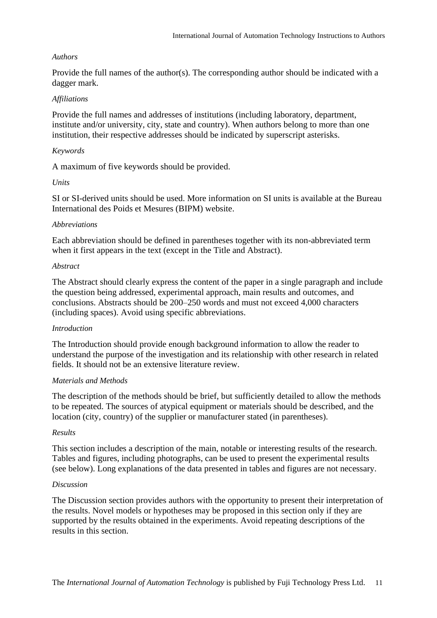## *Authors*

Provide the full names of the author(s). The corresponding author should be indicated with a dagger mark.

## *Affiliations*

Provide the full names and addresses of institutions (including laboratory, department, institute and/or university, city, state and country). When authors belong to more than one institution, their respective addresses should be indicated by superscript asterisks.

## *Keywords*

A maximum of five keywords should be provided.

## *Units*

SI or SI-derived units should be used. More information on SI units is available at the [Bureau](https://www.bipm.org/en/about-us/)  [International des Poids et Mesures \(BIPM\) website.](https://www.bipm.org/en/about-us/)

## *Abbreviations*

Each abbreviation should be defined in parentheses together with its non-abbreviated term when it first appears in the text (except in the Title and Abstract).

## *Abstract*

The Abstract should clearly express the content of the paper in a single paragraph and include the question being addressed, experimental approach, main results and outcomes, and conclusions. Abstracts should be 200–250 words and must not exceed 4,000 characters (including spaces). Avoid using specific abbreviations.

### *Introduction*

The Introduction should provide enough background information to allow the reader to understand the purpose of the investigation and its relationship with other research in related fields. It should not be an extensive literature review.

### *Materials and Methods*

The description of the methods should be brief, but sufficiently detailed to allow the methods to be repeated. The sources of atypical equipment or materials should be described, and the location (city, country) of the supplier or manufacturer stated (in parentheses).

### *Results*

This section includes a description of the main, notable or interesting results of the research. Tables and figures, including photographs, can be used to present the experimental results (see below). Long explanations of the data presented in tables and figures are not necessary.

### *Discussion*

The Discussion section provides authors with the opportunity to present their interpretation of the results. Novel models or hypotheses may be proposed in this section only if they are supported by the results obtained in the experiments. Avoid repeating descriptions of the results in this section.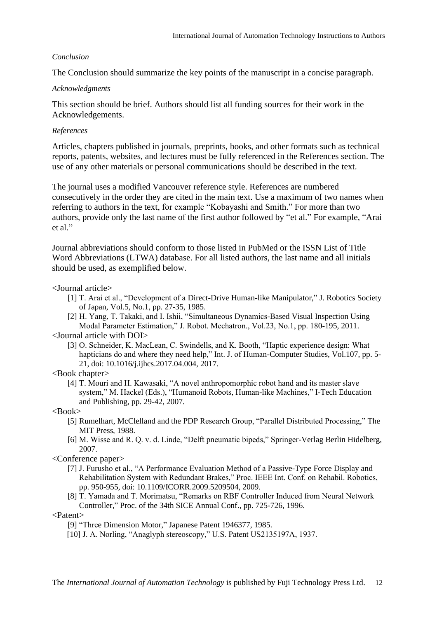## *Conclusion*

The Conclusion should summarize the key points of the manuscript in a concise paragraph.

## *Acknowledgments*

This section should be brief. Authors should list all funding sources for their work in the Acknowledgements.

## *References*

Articles, chapters published in journals, preprints, books, and other formats such as technical reports, patents, websites, and lectures must be fully referenced in the References section. The use of any other materials or personal communications should be described in the text.

The journal uses a modified Vancouver reference style. References are numbered consecutively in the order they are cited in the main text. Use a maximum of two names when referring to authors in the text, for example "Kobayashi and Smith." For more than two authors, provide only the last name of the first author followed by "et al." For example, "Arai et al."

Journal abbreviations should conform to those listed in PubMed or the ISSN List of Title Word Abbreviations (LTWA) database. For all listed authors, the last name and all initials should be used, as exemplified below.

## <Journal article>

- [1] T. Arai et al., "Development of a Direct-Drive Human-like Manipulator," J. Robotics Society of Japan, Vol.5, No.1, pp. 27-35, 1985.
- [2] H. Yang, T. Takaki, and I. Ishii, "Simultaneous Dynamics-Based Visual Inspection Using Modal Parameter Estimation," J. Robot. Mechatron., Vol.23, No.1, pp. 180-195, 2011.

### <Journal article with DOI>

[3] O. Schneider, K. MacLean, C. Swindells, and K. Booth, "Haptic experience design: What hapticians do and where they need help," Int. J. of Human-Computer Studies, Vol.107, pp. 5- 21, doi: 10.1016/j.ijhcs.2017.04.004, 2017.

### <Book chapter>

[4] T. Mouri and H. Kawasaki, "A novel anthropomorphic robot hand and its master slave system," M. Hackel (Eds.), "Humanoid Robots, Human-like Machines," I-Tech Education and Publishing, pp. 29-42, 2007.

### <Book>

- [5] Rumelhart, McClelland and the PDP Research Group, "Parallel Distributed Processing," The MIT Press, 1988.
- [6] M. Wisse and R. Q. v. d. Linde, "Delft pneumatic bipeds," Springer-Verlag Berlin Hidelberg, 2007.

<Conference paper>

- [7] J. Furusho et al., "A Performance Evaluation Method of a Passive-Type Force Display and Rehabilitation System with Redundant Brakes," Proc. IEEE Int. Conf. on Rehabil. Robotics, pp. 950-955, doi: 10.1109/ICORR.2009.5209504, 2009.
- [8] T. Yamada and T. Morimatsu, "Remarks on RBF Controller Induced from Neural Network Controller," Proc. of the 34th SICE Annual Conf., pp. 725-726, 1996.

<Patent>

- [9] "Three Dimension Motor," Japanese Patent 1946377, 1985.
- [10] J. A. Norling, "Anaglyph stereoscopy," U.S. Patent US2135197A, 1937.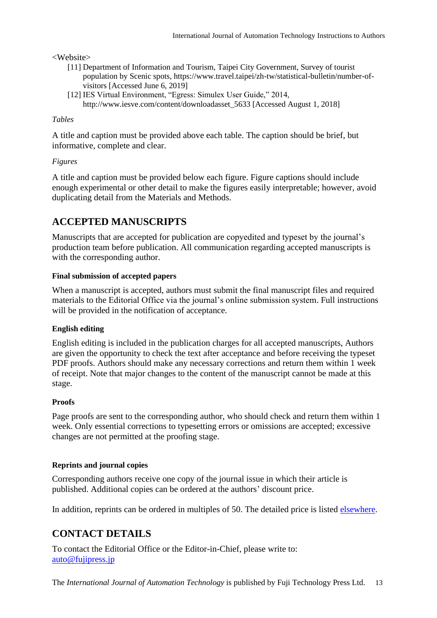## <Website>

- [11] Department of Information and Tourism, Taipei City Government, Survey of tourist population by Scenic spots, https://www.travel.taipei/zh-tw/statistical-bulletin/number-ofvisitors [Accessed June 6, 2019]
- [12] IES Virtual Environment, "Egress: Simulex User Guide," 2014, http://www.iesve.com/content/downloadasset 5633 [Accessed August 1, 2018]

## *Tables*

A title and caption must be provided above each table. The caption should be brief, but informative, complete and clear.

## *Figures*

A title and caption must be provided below each figure. Figure captions should include enough experimental or other detail to make the figures easily interpretable; however, avoid duplicating detail from the Materials and Methods.

# <span id="page-12-0"></span>**ACCEPTED MANUSCRIPTS**

Manuscripts that are accepted for publication are copyedited and typeset by the journal's production team before publication. All communication regarding accepted manuscripts is with the corresponding author.

## **Final submission of accepted papers**

When a manuscript is accepted, authors must submit the final manuscript files and required materials to the Editorial Office via the journal's online submission system. Full instructions will be provided in the notification of acceptance.

## **English editing**

English editing is included in the publication charges for all accepted manuscripts, Authors are given the opportunity to check the text after acceptance and before receiving the typeset PDF proofs. Authors should make any necessary corrections and return them within 1 week of receipt. Note that major changes to the content of the manuscript cannot be made at this stage.

## **Proofs**

Page proofs are sent to the corresponding author, who should check and return them within 1 week. Only essential corrections to typesetting errors or omissions are accepted; excessive changes are not permitted at the proofing stage.

## **Reprints and journal copies**

Corresponding authors receive one copy of the journal issue in which their article is published. Additional copies can be ordered at the authors' discount price.

<span id="page-12-1"></span>In addition, reprints can be ordered in multiples of 50. The detailed price is listed [elsewhere.](https://www.fujipress.jp/ijat/au-authors/#page_charge)

# **CONTACT DETAILS**

To contact the Editorial Office or the Editor-in-Chief, please write to: [auto@fujipress.j](mailto:auto@fujipress.)p